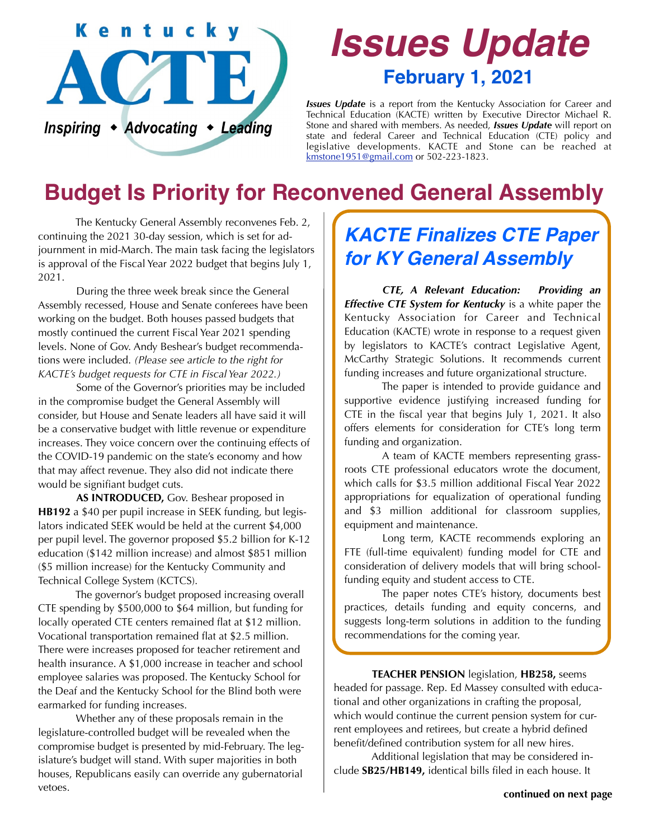

# *Issues Update* **February 1, 2021**

*Issues Update* is a report from the Kentucky Association for Career and Technical Education (KACTE) written by Executive Director Michael R. Stone and shared with members. As needed, *Issues Update* will report on state and federal Career and Technical Education (CTE) policy and legislative developments. KACTE and Stone can be reached at [kmstone1951@gmail.com](mailto:kmstone1951@gmail.com) or 502-223-1823.

# **Budget Is Priority for Reconvened General Assembly**

 The Kentucky General Assembly reconvenes Feb. 2, continuing the 2021 30-day session, which is set for adjournment in mid-March. The main task facing the legislators is approval of the Fiscal Year 2022 budget that begins July 1, 2021.

 During the three week break since the General Assembly recessed, House and Senate conferees have been working on the budget. Both houses passed budgets that mostly continued the current Fiscal Year 2021 spending levels. None of Gov. Andy Beshear's budget recommendations were included. *(Please see article to the right for KACTE's budget requests for CTE in Fiscal Year 2022.)*

 Some of the Governor's priorities may be included in the compromise budget the General Assembly will consider, but House and Senate leaders all have said it will be a conservative budget with little revenue or expenditure increases. They voice concern over the continuing effects of the COVID-19 pandemic on the state's economy and how that may affect revenue. They also did not indicate there would be signifiant budget cuts.

**AS INTRODUCED,** Gov. Beshear proposed in **HB192** a \$40 per pupil increase in SEEK funding, but legislators indicated SEEK would be held at the current \$4,000 per pupil level. The governor proposed \$5.2 billion for K-12 education (\$142 million increase) and almost \$851 million (\$5 million increase) for the Kentucky Community and Technical College System (KCTCS).

 The governor's budget proposed increasing overall CTE spending by \$500,000 to \$64 million, but funding for locally operated CTE centers remained flat at \$12 million. Vocational transportation remained flat at \$2.5 million. There were increases proposed for teacher retirement and health insurance. A \$1,000 increase in teacher and school employee salaries was proposed. The Kentucky School for the Deaf and the Kentucky School for the Blind both were earmarked for funding increases.

 Whether any of these proposals remain in the legislature-controlled budget will be revealed when the compromise budget is presented by mid-February. The legislature's budget will stand. With super majorities in both houses, Republicans easily can override any gubernatorial vetoes.

### *KACTE Finalizes CTE Paper for KY General Assembly*

*CTE, A Relevant Education: Providing an Effective CTE System for Kentucky* is a white paper the Kentucky Association for Career and Technical Education (KACTE) wrote in response to a request given by legislators to KACTE's contract Legislative Agent, McCarthy Strategic Solutions. It recommends current funding increases and future organizational structure.

 The paper is intended to provide guidance and supportive evidence justifying increased funding for CTE in the fiscal year that begins July 1, 2021. It also offers elements for consideration for CTE's long term funding and organization.

 A team of KACTE members representing grassroots CTE professional educators wrote the document, which calls for \$3.5 million additional Fiscal Year 2022 appropriations for equalization of operational funding and \$3 million additional for classroom supplies, equipment and maintenance.

 Long term, KACTE recommends exploring an FTE (full-time equivalent) funding model for CTE and consideration of delivery models that will bring schoolfunding equity and student access to CTE.

 The paper notes CTE's history, documents best practices, details funding and equity concerns, and suggests long-term solutions in addition to the funding recommendations for the coming year.

**TEACHER PENSION** legislation, **HB258,** seems headed for passage. Rep. Ed Massey consulted with educational and other organizations in crafting the proposal, which would continue the current pension system for current employees and retirees, but create a hybrid defined benefit/defined contribution system for all new hires.

 Additional legislation that may be considered include **SB25/HB149,** identical bills filed in each house. It